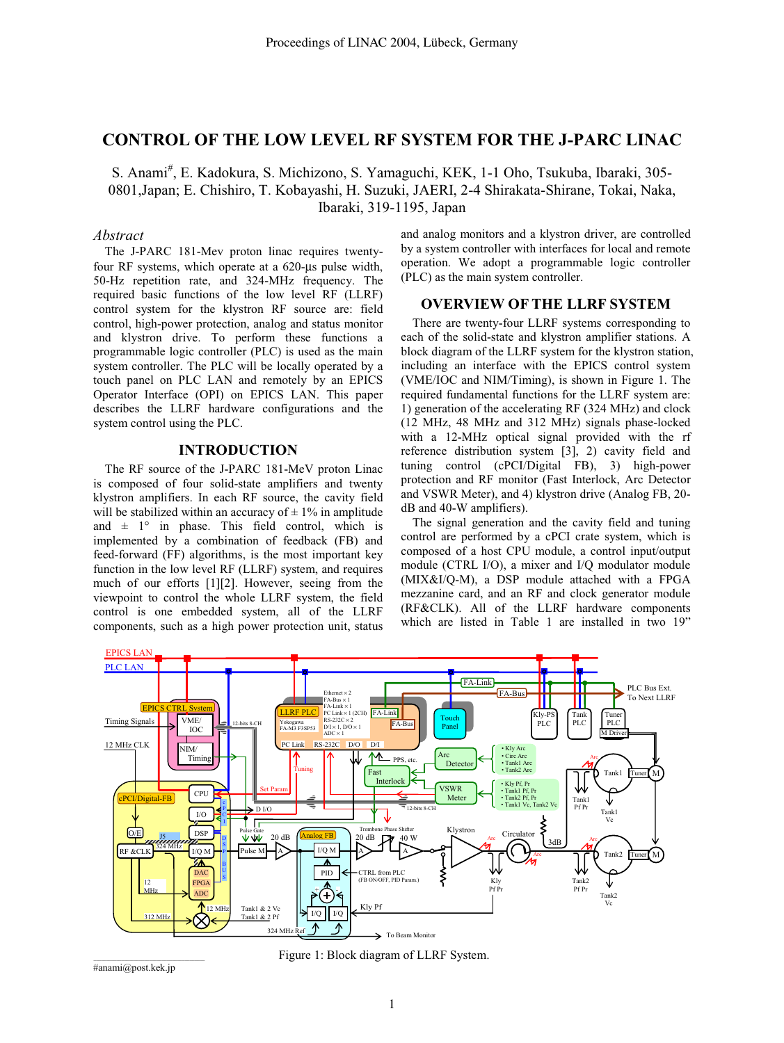# **CONTROL OF THE LOW LEVEL RF SYSTEM FOR THE J-PARC LINAC**

S. Anami<sup>#</sup>, E. Kadokura, S. Michizono, S. Yamaguchi, KEK, 1-1 Oho, Tsukuba, Ibaraki, 305-0801,Japan; E. Chishiro, T. Kobayashi, H. Suzuki, JAERI, 2-4 Shirakata-Shirane, Tokai, Naka, Ibaraki, 319-1195, Japan

# *Abstract*

The J-PARC 181-Mev proton linac requires twentyfour RF systems, which operate at a 620-µs pulse width, 50-Hz repetition rate, and 324-MHz frequency. The required basic functions of the low level RF (LLRF) control system for the klystron RF source are: field control, high-power protection, analog and status monitor and klystron drive. To perform these functions a programmable logic controller (PLC) is used as the main system controller. The PLC will be locally operated by a touch panel on PLC LAN and remotely by an EPICS Operator Interface (OPI) on EPICS LAN. This paper describes the LLRF hardware configurations and the system control using the PLC.

## **INTRODUCTION**

The RF source of the J-PARC 181-MeV proton Linac is composed of four solid-state amplifiers and twenty klystron amplifiers. In each RF source, the cavity field will be stabilized within an accuracy of  $\pm$  1% in amplitude and  $\pm$  1° in phase. This field control, which is implemented by a combination of feedback (FB) and feed-forward (FF) algorithms, is the most important key function in the low level RF (LLRF) system, and requires much of our efforts [1][2]. However, seeing from the viewpoint to control the whole LLRF system, the field control is one embedded system, all of the LLRF components, such as a high power protection unit, status

and analog monitors and a klystron driver, are controlled by a system controller with interfaces for local and remote operation. We adopt a programmable logic controller (PLC) as the main system controller.

## **OVERVIEW OF THE LLRF SYSTEM**

There are twenty-four LLRF systems corresponding to each of the solid-state and klystron amplifier stations. A block diagram of the LLRF system for the klystron station, including an interface with the EPICS control system (VME/IOC and NIM/Timing), is shown in Figure 1. The required fundamental functions for the LLRF system are: 1) generation of the accelerating RF (324 MHz) and clock (12 MHz, 48 MHz and 312 MHz) signals phase-locked with a 12-MHz optical signal provided with the rf reference distribution system [3], 2) cavity field and tuning control (cPCI/Digital FB), 3) high-power protection and RF monitor (Fast Interlock, Arc Detector and VSWR Meter), and 4) klystron drive (Analog FB, 20 dB and 40-W amplifiers).

The signal generation and the cavity field and tuning control are performed by a cPCI crate system, which is composed of a host CPU module, a control input/output module (CTRL I/O), a mixer and I/Q modulator module (MIX&I/Q-M), a DSP module attached with a FPGA mezzanine card, and an RF and clock generator module (RF&CLK). All of the LLRF hardware components which are listed in Table 1 are installed in two 19"



Figure 1: Block diagram of LLRF System.

\_\_\_\_\_\_\_\_\_\_\_\_\_\_\_\_\_\_\_\_\_\_\_\_\_\_\_\_\_\_\_\_\_\_\_\_\_\_\_\_\_\_\_\_ #anami@post.kek.jp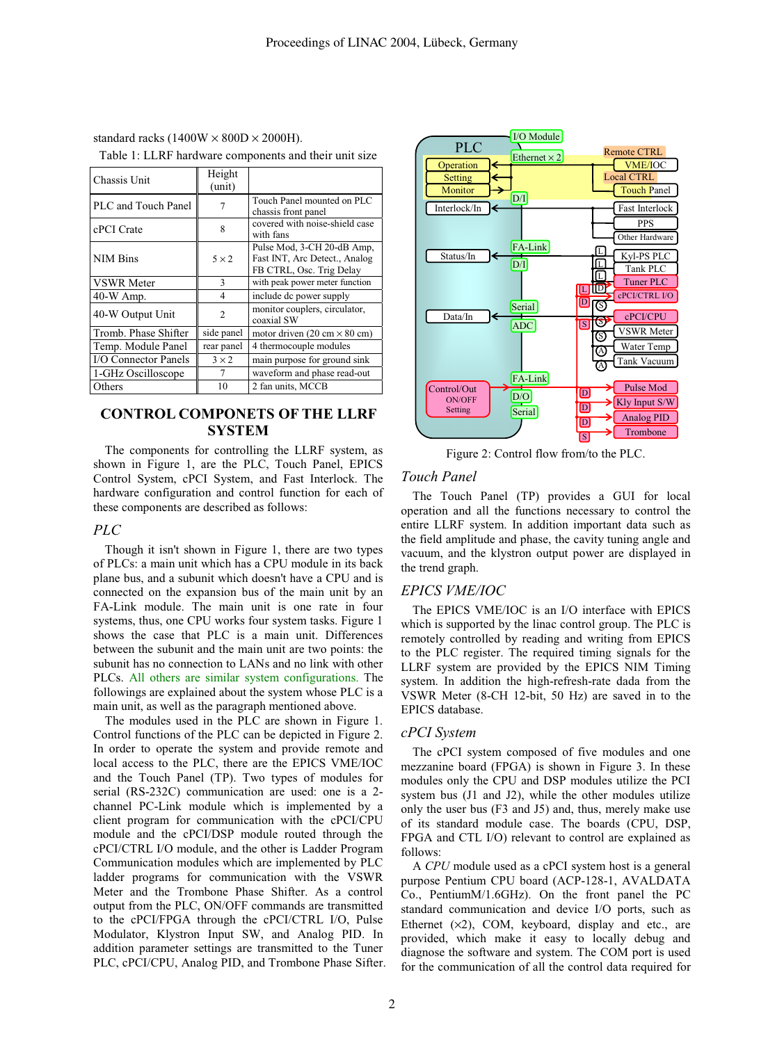standard racks (1400W  $\times$  800D  $\times$  2000H). Table 1: LLRF hardware components and their unit size

| Chassis Unit         | Height<br>(unit) |                                                                                         |
|----------------------|------------------|-----------------------------------------------------------------------------------------|
| PLC and Touch Panel  | 7                | Touch Panel mounted on PLC<br>chassis front panel                                       |
| cPCI Crate           | 8                | covered with noise-shield case<br>with fans                                             |
| <b>NIM Bins</b>      | $5 \times 2$     | Pulse Mod, 3-CH 20-dB Amp,<br>Fast INT, Arc Detect., Analog<br>FB CTRL, Osc. Trig Delay |
| <b>VSWR</b> Meter    | $\mathbf{3}$     | with peak power meter function                                                          |
| $40-W$ Amp.          | $\overline{4}$   | include dc power supply                                                                 |
| 40-W Output Unit     | $\overline{c}$   | monitor couplers, circulator,<br>coaxial SW                                             |
| Tromb. Phase Shifter | side panel       | motor driven $(20 \text{ cm} \times 80 \text{ cm})$                                     |
| Temp. Module Panel   | rear panel       | 4 thermocouple modules                                                                  |
| I/O Connector Panels | $3 \times 2$     | main purpose for ground sink                                                            |
| 1-GHz Oscilloscope   | 7                | waveform and phase read-out                                                             |
| Others               | 10               | 2 fan units, MCCB                                                                       |

# **CONTROL COMPONETS OF THE LLRF SYSTEM**

The components for controlling the LLRF system, as shown in Figure 1, are the PLC, Touch Panel, EPICS Control System, cPCI System, and Fast Interlock. The hardware configuration and control function for each of these components are described as follows:

### *PLC*

Though it isn't shown in Figure 1, there are two types of PLCs: a main unit which has a CPU module in its back plane bus, and a subunit which doesn't have a CPU and is connected on the expansion bus of the main unit by an FA-Link module. The main unit is one rate in four systems, thus, one CPU works four system tasks. Figure 1 shows the case that PLC is a main unit. Differences between the subunit and the main unit are two points: the subunit has no connection to LANs and no link with other PLCs. All others are similar system configurations. The followings are explained about the system whose PLC is a main unit, as well as the paragraph mentioned above.

The modules used in the PLC are shown in Figure 1. Control functions of the PLC can be depicted in Figure 2. In order to operate the system and provide remote and local access to the PLC, there are the EPICS VME/IOC and the Touch Panel (TP). Two types of modules for serial (RS-232C) communication are used: one is a 2 channel PC-Link module which is implemented by a client program for communication with the cPCI/CPU module and the cPCI/DSP module routed through the cPCI/CTRL I/O module, and the other is Ladder Program Communication modules which are implemented by PLC ladder programs for communication with the VSWR Meter and the Trombone Phase Shifter. As a control output from the PLC, ON/OFF commands are transmitted to the cPCI/FPGA through the cPCI/CTRL I/O, Pulse Modulator, Klystron Input SW, and Analog PID. In addition parameter settings are transmitted to the Tuner PLC, cPCI/CPU, Analog PID, and Trombone Phase Sifter.



Figure 2: Control flow from/to the PLC.

### *Touch Panel*

The Touch Panel (TP) provides a GUI for local operation and all the functions necessary to control the entire LLRF system. In addition important data such as the field amplitude and phase, the cavity tuning angle and vacuum, and the klystron output power are displayed in the trend graph.

### *EPICS VME/IOC*

The EPICS VME/IOC is an I/O interface with EPICS which is supported by the linac control group. The PLC is remotely controlled by reading and writing from EPICS to the PLC register. The required timing signals for the LLRF system are provided by the EPICS NIM Timing system. In addition the high-refresh-rate dada from the VSWR Meter (8-CH 12-bit, 50 Hz) are saved in to the EPICS database.

### *cPCI System*

The cPCI system composed of five modules and one mezzanine board (FPGA) is shown in Figure 3. In these modules only the CPU and DSP modules utilize the PCI system bus (J1 and J2), while the other modules utilize only the user bus (F3 and J5) and, thus, merely make use of its standard module case. The boards (CPU, DSP, FPGA and CTL I/O) relevant to control are explained as follows:

A *CPU* module used as a cPCI system host is a general purpose Pentium CPU board (ACP-128-1, AVALDATA Co., PentiumM/1.6GHz). On the front panel the PC standard communication and device I/O ports, such as Ethernet  $(x2)$ , COM, keyboard, display and etc., are provided, which make it easy to locally debug and diagnose the software and system. The COM port is used for the communication of all the control data required for